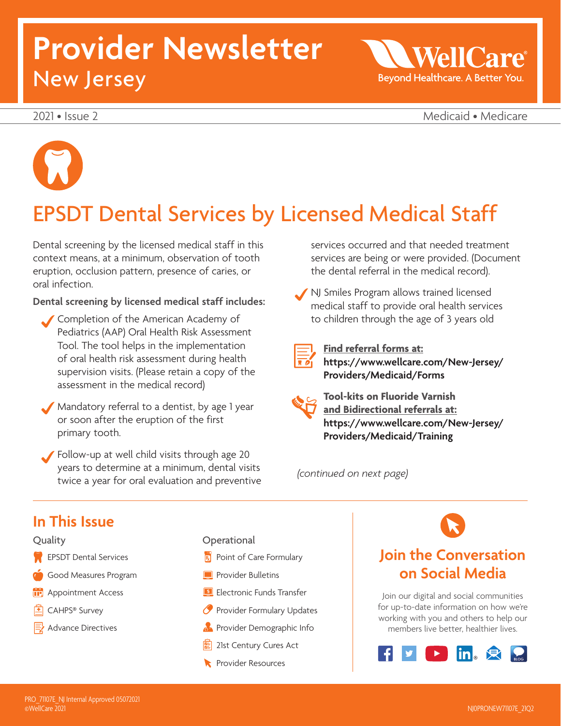# **Provider Newsletter**  New Jersey

WellO Beyond Healthcare. A Better You.

2021 • Issue 2 Medicaid • Medicare



# EPSDT Dental Services by Licensed Medical Staff

Dental screening by the licensed medical staff in this context means, at a minimum, observation of tooth eruption, occlusion pattern, presence of caries, or oral infection.

**Dental screening by licensed medical staff includes:** 

 Completion of the American Academy of Pediatrics (AAP) Oral Health Risk Assessment Tool. The tool helps in the implementation of oral health risk assessment during health supervision visits. (Please retain a copy of the assessment in the medical record)

 Mandatory referral to a dentist, by age 1 year or soon after the eruption of the first primary tooth.

 Follow-up at well child visits through age 20 years to determine at a minimum, dental visits twice a year for oral evaluation and preventive services occurred and that needed treatment services are being or were provided. (Document the dental referral in the medical record).

 NJ Smiles Program allows trained licensed medical staff to provide oral health services to children through the age of 3 years old



**Find referral forms at: [https://www.wellcare.com/New-Jersey/](https://www.wellcare.com/New-Jersey/Providers/Medicaid/Forms)  Providers/Medicaid/Forms** 



**Tool-kits on Fluoride Varnish and Bidirectional referrals at: [https://www.wellcare.com/New-Jersey/](https://www.wellcare.com/New-Jersey/Providers/Medicaid/Training)  Providers/Medicaid/Training** 

*(continued on next page)* 

### **In This Issue**



- **EPSDT** Dental Services
- Good Measures Program
- **Appointment Access**
- $\boxed{\pm}$  CAHPS<sup>®</sup> Survey
- $\equiv$  Advance Directives
- **Operational**
- $R$  Point of Care Formulary
- **Provider Bulletins**
- **Electronic Funds Transfer**
- **P** Provider Formulary Updates
- **Provider Demographic Info.**
- 21st Century Cures Act
- **Resources**

### **Join the Conversation on Social Media**

Join our digital and social communities for up-to-date information on how we're working with you and others to help our members live better, healthier lives.

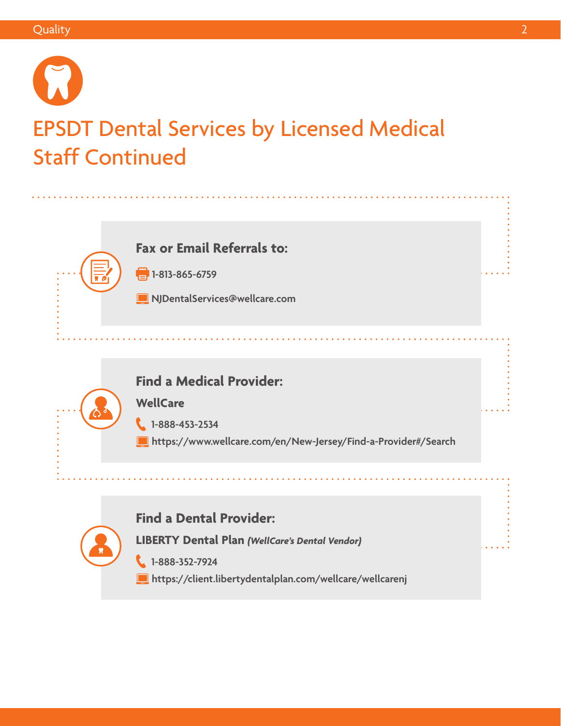# EPSDT Dental Services by Licensed Medical Staff Continued



**1**-813-865-6759

**[NJDentalServices@wellcare.com](mailto:NJDentalServices@wellcare.com)** 

### **Find a Medical Provider:**

**WellCare** 

 **1-888-453-2534** 

 **<https://www.wellcare.com/en/New-Jersey/Find-a-Provider#/Search>** 

### **Find a Dental Provider:**

**LIBERTY Dental Plan** *(WellCare's Dental Vendor)*

 **1-888-352-7924** 

 **<https://client.libertydentalplan.com/wellcare/wellcarenj>**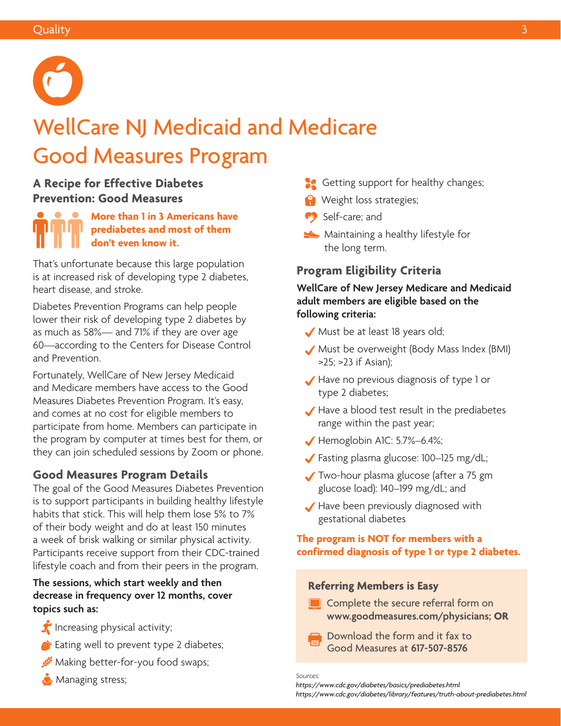

# WellCare NJ Medicaid and Medicare Good Measures Program

### **A Recipe for Effective Diabetes Prevention: Good Measures**

**More than 1 in 3 Americans have prediabetes and most of them don't even know it.** 

That's unfortunate because this large population is at increased risk of developing type 2 diabetes, heart disease, and stroke.

Diabetes Prevention Programs can help people lower their risk of developing type 2 diabetes by as much as 58%— and 71% if they are over age 60—according to the Centers for Disease Control and Prevention.

Fortunately, WellCare of New Jersey Medicaid and Medicare members have access to the Good Measures Diabetes Prevention Program. It's easy, and comes at no cost for eligible members to participate from home. Members can participate in the program by computer at times best for them, or they can join scheduled sessions by Zoom or phone.

### **Good Measures Program Details**

The goal of the Good Measures Diabetes Prevention is to support participants in building healthy lifestyle habits that stick. This will help them lose 5% to 7% of their body weight and do at least 150 minutes a week of brisk walking or similar physical activity. Participants receive support from their CDC-trained lifestyle coach and from their peers in the program.

#### **The sessions, which start weekly and then decrease in frequency over 12 months, cover topics such as:**

- $\hat{I}$  Increasing physical activity;
- **Example 3** Eating well to prevent type 2 diabetes;
- Making better-for-you food swaps;
- **Managing stress;**
- Getting support for healthy changes;
- Weight loss strategies;
- Self-care; and
- Maintaining a healthy lifestyle for the long term.

### **Program Eligibility Criteria**

#### **WellCare of New Jersey Medicare and Medicaid adult members are eligible based on the following criteria:**

- Must be at least 18 years old;
- Must be overweight (Body Mass Index (BMI) >25; >23 if Asian);
- Have no previous diagnosis of type 1 or type 2 diabetes;
- Have a blood test result in the prediabetes range within the past year;
- $\blacktriangleright$  Hemoglobin A1C: 5.7%–6.4%;
- Fasting plasma glucose: 100–125 mg/dL;
- Two-hour plasma glucose (after a 75 gm glucose load): 140–199 mg/dL; and
- Have been previously diagnosed with gestational diabetes

#### **The program is NOT for members with a confirmed diagnosis of type 1 or type 2 diabetes.**

#### **Referring Members is Easy**

- **Complete the secure referral form on [www.goodmeasures.com/physicians;](http://www.goodmeasures.com/physicians) OR** 
	- Download the form and it fax to Good Measures at **617-507-8576**

*Sources: <https://www.cdc.gov/diabetes/basics/prediabetes.html> <https://www.cdc.gov/diabetes/library/features/truth-about-prediabetes.html>*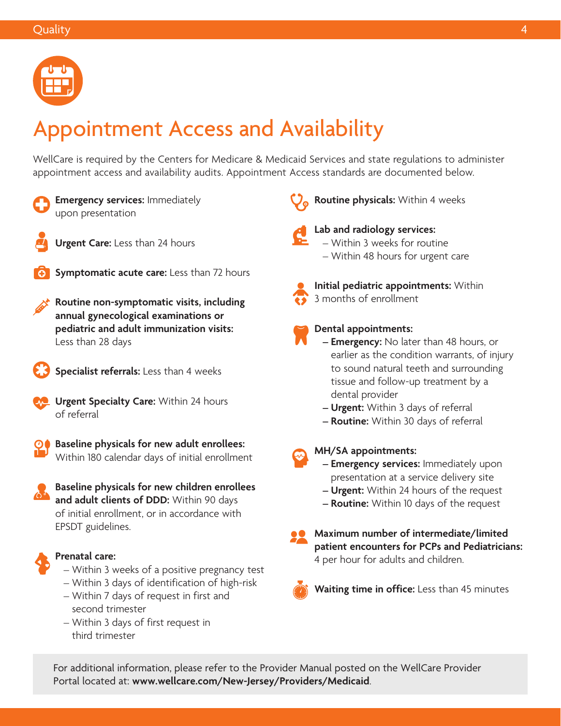

# Appointment Access and Availability

WellCare is required by the Centers for Medicare & Medicaid Services and state regulations to administer appointment access and availability audits. Appointment Access standards are documented below.



**Emergency services:** Immediately upon presentation



**Urgent Care:** Less than 24 hours



**Symptomatic acute care:** Less than 72 hours

**Routine non-symptomatic visits, including annual gynecological examinations or pediatric and adult immunization visits:**  Less than 28 days



**Specialist referrals:** Less than 4 weeks

**Letter Urgent Specialty Care:** Within 24 hours of referral



**Baseline physicals for new adult enrollees:**  Within 180 calendar days of initial enrollment

**Baseline physicals for new children enrollees and adult clients of DDD:** Within 90 days of initial enrollment, or in accordance with EPSDT guidelines.



#### **Prenatal care:**

- Within 3 weeks of a positive pregnancy test
- Within 3 days of identification of high-risk – Within 7 days of request in first and
- second trimester
- Within 3 days of first request in third trimester

**Routine physicals:** Within 4 weeks



#### **Lab and radiology services:**  – Within 3 weeks for routine – Within 48 hours for urgent care



**Initial pediatric appointments:** Within 3 months of enrollment



#### **Dental appointments:**

- **Emergency:** No later than 48 hours, or earlier as the condition warrants, of injury to sound natural teeth and surrounding tissue and follow-up treatment by a dental provider
- **Urgent:** Within 3 days of referral
- **Routine:** Within 30 days of referral

**MH/SA appointments:** 

- **Emergency services:** Immediately upon presentation at a service delivery site
- **Urgent:** Within 24 hours of the request
- **Routine:** Within 10 days of the request
- **Maximum number of intermediate/limited patient encounters for PCPs and Pediatricians:**  4 per hour for adults and children.



**Waiting time in office:** Less than 45 minutes

For additional information, please refer to the Provider Manual posted on the WellCare Provider Portal located at: **[www.wellcare.com/New-Jersey/Providers/Medicaid](http://www.wellcare.com/New-Jersey/Providers/Medicaid)**.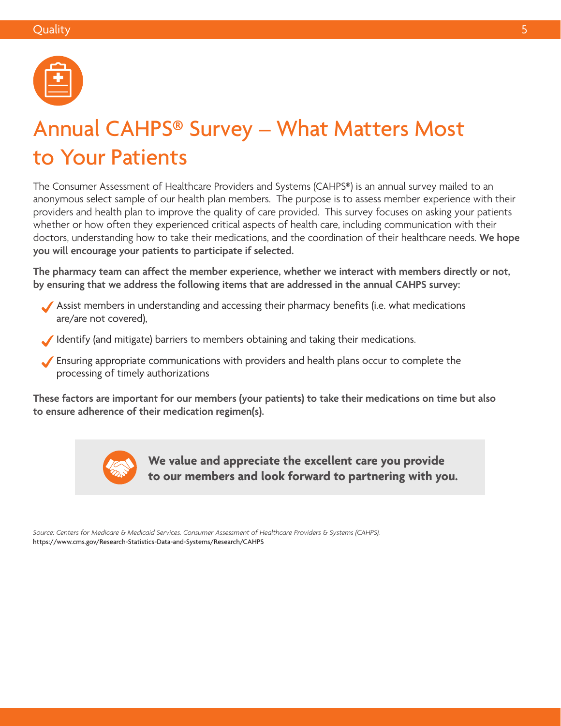

## Annual CAHPS® Survey – What Matters Most to Your Patients

The Consumer Assessment of Healthcare Providers and Systems (CAHPS®) is an annual survey mailed to an anonymous select sample of our health plan members. The purpose is to assess member experience with their providers and health plan to improve the quality of care provided. This survey focuses on asking your patients whether or how often they experienced critical aspects of health care, including communication with their doctors, understanding how to take their medications, and the coordination of their healthcare needs. **We hope you will encourage your patients to participate if selected.** 

**The pharmacy team can affect the member experience, whether we interact with members directly or not, by ensuring that we address the following items that are addressed in the annual CAHPS survey:** 

- Assist members in understanding and accessing their pharmacy benefits (i.e. what medications are/are not covered),
- Identify (and mitigate) barriers to members obtaining and taking their medications.
- Ensuring appropriate communications with providers and health plans occur to complete the processing of timely authorizations

**These factors are important for our members (your patients) to take their medications on time but also to ensure adherence of their medication regimen(s).** 



**We value and appreciate the excellent care you provide to our members and look forward to partnering with you.** 

*Source: Centers for Medicare & Medicaid Services. Consumer Assessment of Healthcare Providers & Systems (CAHPS).*  <https://www.cms.gov/Research-Statistics-Data-and-Systems/Research/CAHPS>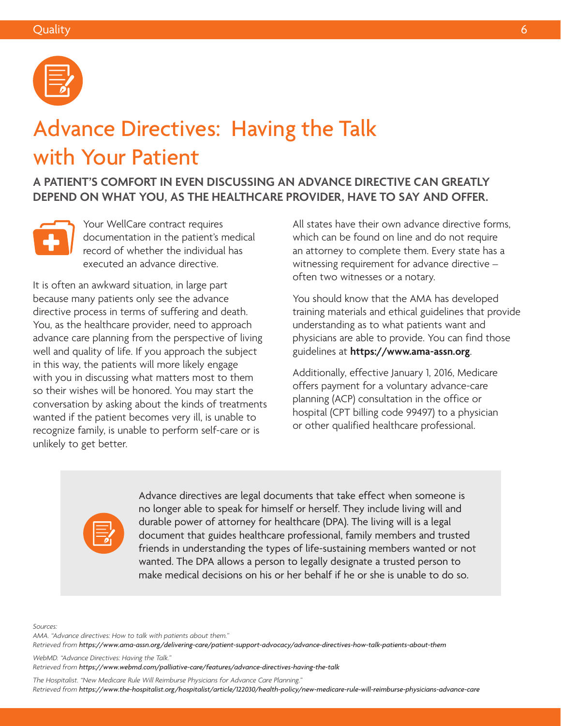

## Advance Directives: Having the Talk with Your Patient

**A PATIENT'S COMFORT IN EVEN DISCUSSING AN ADVANCE DIRECTIVE CAN GREATLY DEPEND ON WHAT YOU, AS THE HEALTHCARE PROVIDER, HAVE TO SAY AND OFFER.** 



Your WellCare contract requires documentation in the patient's medical record of whether the individual has executed an advance directive.

It is often an awkward situation, in large part because many patients only see the advance directive process in terms of suffering and death. You, as the healthcare provider, need to approach advance care planning from the perspective of living well and quality of life. If you approach the subject in this way, the patients will more likely engage with you in discussing what matters most to them so their wishes will be honored. You may start the conversation by asking about the kinds of treatments wanted if the patient becomes very ill, is unable to recognize family, is unable to perform self-care or is unlikely to get better.

All states have their own advance directive forms, which can be found on line and do not require an attorney to complete them. Every state has a witnessing requirement for advance directive – often two witnesses or a notary.

You should know that the AMA has developed training materials and ethical guidelines that provide understanding as to what patients want and physicians are able to provide. You can find those guidelines at **<https://www.ama-assn.org>**.

Additionally, effective January 1, 2016, Medicare offers payment for a voluntary advance-care planning (ACP) consultation in the office or hospital (CPT billing code 99497) to a physician or other qualified healthcare professional.



Advance directives are legal documents that take effect when someone is no longer able to speak for himself or herself. They include living will and durable power of attorney for healthcare (DPA). The living will is a legal document that guides healthcare professional, family members and trusted friends in understanding the types of life-sustaining members wanted or not wanted. The DPA allows a person to legally designate a trusted person to make medical decisions on his or her behalf if he or she is unable to do so.

*Sources:* 

*AMA. "Advance directives: How to talk with patients about them." Retrieved from [https://www.ama-assn.org/delivering-care/patient-support-advocacy/advance-directives-how-talk-patients-about-them](https://www.ama-assn.org/delivering-care/patient-support-advocacy/advance-directives-how-talk-patien)* 

*WebMD. "Advance Directives: Having the Talk." Retrieved from <https://www.webmd.com/palliative-care/features/advance-directives-having-the-talk>* 

*The Hospitalist. "New Medicare Rule Will Reimburse Physicians for Advance Care Planning." Retrieved from [https://www.the-hospitalist.org/hospitalist/article/122030/health-policy/new-medicare-rule-will-reimburse-physicians-advance-care](https://www.the-hospitalist.org/hospitalist/article/122030/health-policy/new-medicare-rule-will-reim)*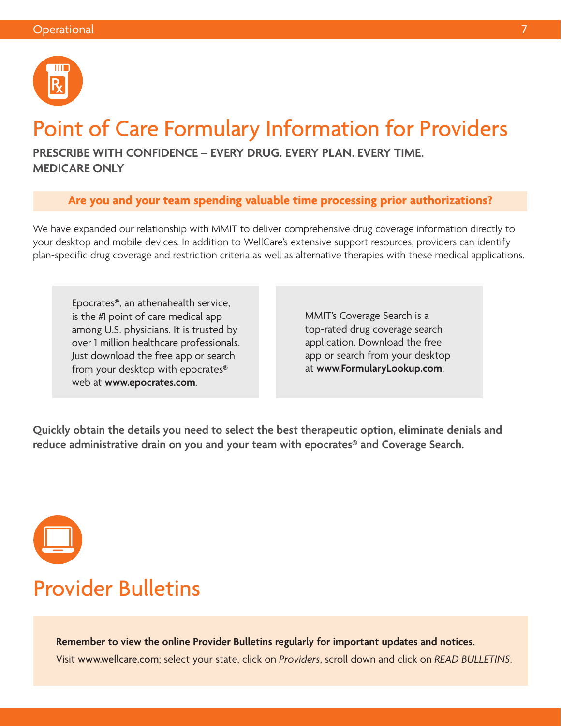

## Point of Care Formulary Information for Providers

**PRESCRIBE WITH CONFIDENCE – EVERY DRUG. EVERY PLAN. EVERY TIME. MEDICARE ONLY** 

### **Are you and your team spending valuable time processing prior authorizations?**

We have expanded our relationship with MMIT to deliver comprehensive drug coverage information directly to your desktop and mobile devices. In addition to WellCare's extensive support resources, providers can identify plan-specific drug coverage and restriction criteria as well as alternative therapies with these medical applications.

Epocrates®, an athenahealth service, is the #1 point of care medical app among U.S. physicians. It is trusted by over 1 million healthcare professionals. Just download the free app or search from your desktop with epocrates® web at **[www.epocrates.com](http://www.epocrates.com)**.

MMIT's Coverage Search is a top-rated drug coverage search application. Download the free app or search from your desktop at **[www.FormularyLookup.com](http://www.FormularyLookup.com)**.

**Quickly obtain the details you need to select the best therapeutic option, eliminate denials and reduce administrative drain on you and your team with epocrates® and Coverage Search.** 



### Provider Bulletins

**Remember to view the online Provider Bulletins regularly for important updates and notices.**  Visit [www.wellcare.com](http://www.wellcare.com); select your state, click on *Providers*, scroll down and click on *READ BULLETINS*.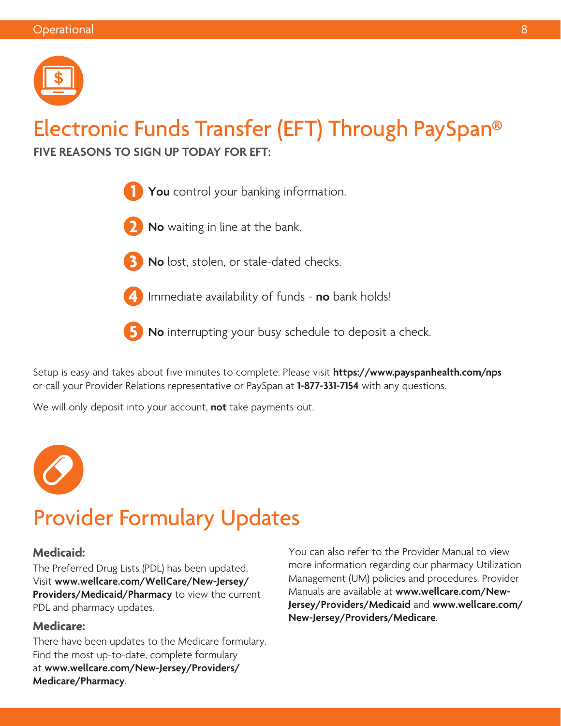

# Electronic Funds Transfer (EFT) Through PaySpan®

**FIVE REASONS TO SIGN UP TODAY FOR EFT:** 



- **2 No** waiting in line at the bank.
- 
- **3 No** lost, stolen, or stale-dated checks.
- 

**4** Immediate availability of funds - **no** bank holds!

**5 No** interrupting your busy schedule to deposit a check.

Setup is easy and takes about five minutes to complete. Please visit **<https://www.payspanhealth.com/nps>**  or call your Provider Relations representative or PaySpan at **1-877-331-7154** with any questions.

We will only deposit into your account, **not** take payments out.



## Provider Formulary Updates

#### **Medicaid:**

The Preferred Drug Lists (PDL) has been updated. Visit **[www.wellcare.com/WellCare/New-Jersey/](http://www.wellcare.com/WellCare/New-Jersey/Providers/Medicaid/Pharmacy) [Providers/Medicaid/Pharmacy](http://www.wellcare.com/WellCare/New-Jersey/Providers/Medicaid/Pharmacy)** to view the current PDL and pharmacy updates.

### **Medicare:**

There have been updates to the Medicare formulary. Find the most up-to-date, complete formulary at **[www.wellcare.com/New-Jersey/Providers/](http://www.wellcare.com/New-Jersey/Providers/Medicare/Pharmacy) [Medicare/Pharmacy](http://www.wellcare.com/New-Jersey/Providers/Medicare/Pharmacy)**.

You can also refer to the Provider Manual to view more information regarding our pharmacy Utilization Management (UM) policies and procedures. Provider Manuals are available at **[www.wellcare.com/New-](http://www.wellcare.com/New-Jersey/Providers/Medicaid)[Jersey/Providers/Medicaid](http://www.wellcare.com/New-Jersey/Providers/Medicaid)** and **[www.wellcare.com/](http://www.wellcare.com/New-Jersey/Providers/Medicare) [New-Jersey/Providers/Medicare](http://www.wellcare.com/New-Jersey/Providers/Medicare)**.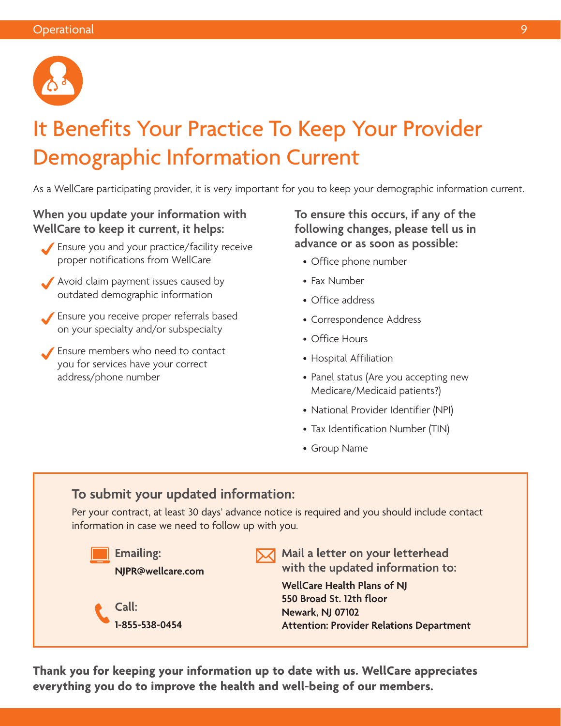

# It Benefits Your Practice To Keep Your Provider Demographic Information Current

As a WellCare participating provider, it is very important for you to keep your demographic information current.

### **When you update your information with WellCare to keep it current, it helps:**

- Ensure you and your practice/facility receive proper notifications from WellCare
- Avoid claim payment issues caused by outdated demographic information
- Ensure you receive proper referrals based on your specialty and/or subspecialty
- Ensure members who need to contact you for services have your correct address/phone number

**To ensure this occurs, if any of the following changes, please tell us in advance or as soon as possible:** 

- Office phone number
- Fax Number
- Office address
- Correspondence Address
- Office Hours
- Hospital Affiliation
- Panel status (Are you accepting new Medicare/Medicaid patients?)
- National Provider Identifier (NPI)
- Tax Identification Number (TIN)
- Group Name

### **To submit your updated information:**

Per your contract, at least 30 days' advance notice is required and you should include contact information in case we need to follow up with you.



**Thank you for keeping your information up to date with us. WellCare appreciates everything you do to improve the health and well-being of our members.**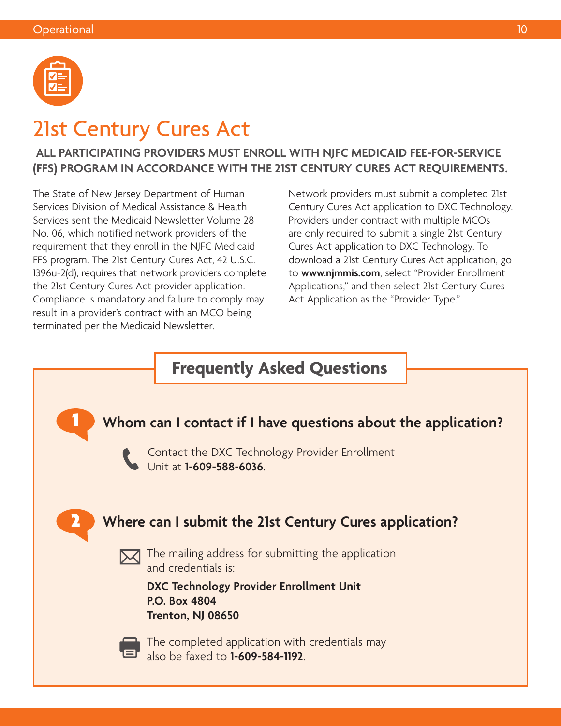

### 21st Century Cures Act

### **ALL PARTICIPATING PROVIDERS MUST ENROLL WITH NJFC MEDICAID FEE-FOR-SERVICE (FFS) PROGRAM IN ACCORDANCE WITH THE 21ST CENTURY CURES ACT REQUIREMENTS.**

The State of New Jersey Department of Human Services Division of Medical Assistance & Health Services sent the Medicaid Newsletter Volume 28 No. 06, which notified network providers of the requirement that they enroll in the NJFC Medicaid FFS program. The 21st Century Cures Act, 42 U.S.C. 1396u-2(d), requires that network providers complete the 21st Century Cures Act provider application. Compliance is mandatory and failure to comply may result in a provider's contract with an MCO being terminated per the Medicaid Newsletter.

Network providers must submit a completed 21st Century Cures Act application to DXC Technology. Providers under contract with multiple MCOs are only required to submit a single 21st Century Cures Act application to DXC Technology. To download a 21st Century Cures Act application, go to **[www.njmmis.com](http://www.njmmis.com)**, select "Provider Enrollment Applications," and then select 21st Century Cures Act Application as the "Provider Type."

### **Frequently Asked Questions**